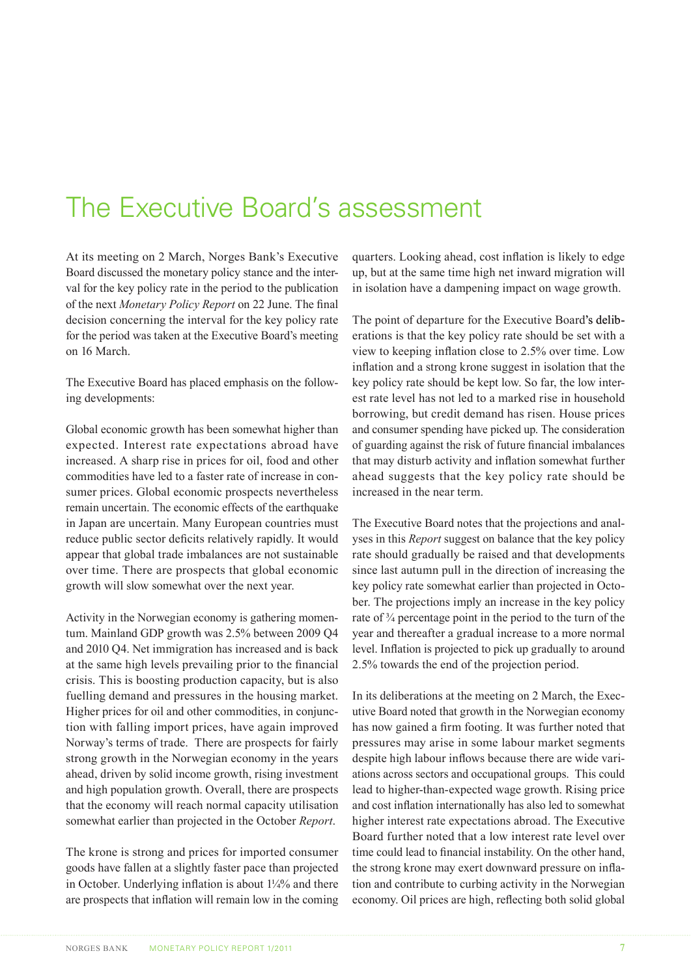## The Executive Board's assessment

At its meeting on 2 March, Norges Bank's Executive Board discussed the monetary policy stance and the interval for the key policy rate in the period to the publication of the next *Monetary Policy Report* on 22 June. The final decision concerning the interval for the key policy rate for the period was taken at the Executive Board's meeting on 16 March.

The Executive Board has placed emphasis on the follow� ing developments:

Global economic growth has been somewhat higher than expected. Interest rate expectations abroad have increased. A sharp rise in prices for oil, food and other commodities have led to a faster rate of increase in con� sumer prices. Global economic prospects nevertheless remain uncertain. The economic effects of the earthquake in Japan are uncertain. Many European countries must reduce public sector deficits relatively rapidly. It would appear that global trade imbalances are not sustainable over time. There are prospects that global economic growth will slow somewhat over the next year.

Activity in the Norwegian economy is gathering momen� tum. Mainland GDP growth was 2.5% between 2009 Q4 and 2010 Q4. Net immigration has increased and is back at the same high levels prevailing prior to the financial crisis. This is boosting production capacity, but is also fuelling demand and pressures in the housing market. Higher prices for oil and other commodities, in conjunction with falling import prices, have again improved Norway's terms of trade. There are prospects for fairly strong growth in the Norwegian economy in the years ahead, driven by solid income growth, rising investment and high population growth. Overall, there are prospects that the economy will reach normal capacity utilisation somewhat earlier than projected in the October *Report*.

The krone is strong and prices for imported consumer goods have fallen at a slightly faster pace than projected in October. Underlying inflation is about 1¼% and there are prospects that inflation will remain low in the coming

quarters. Looking ahead, cost inflation is likely to edge up, but at the same time high net inward migration will in isolation have a dampening impact on wage growth.

The point of departure for the Executive Board's deliberations is that the key policy rate should be set with a view to keeping inflation close to 2.5% over time. Low inflation and a strong krone suggest in isolation that the key policy rate should be kept low. So far, the low interest rate level has not led to a marked rise in household borrowing, but credit demand has risen. House prices and consumer spending have picked up. The consideration of guarding against the risk of future financial imbalances that may disturb activity and inflation somewhat further ahead suggests that the key policy rate should be increased in the near term.

The Executive Board notes that the projections and anal� yses in this *Report* suggest on balance that the key policy rate should gradually be raised and that developments since last autumn pull in the direction of increasing the key policy rate somewhat earlier than projected in October. The projections imply an increase in the key policy rate of ¾ percentage point in the period to the turn of the year and thereafter a gradual increase to a more normal level. Inflation is projected to pick up gradually to around 2.5% towards the end of the projection period.

In its deliberations at the meeting on 2 March, the Executive Board noted that growth in the Norwegian economy has now gained a firm footing. It was further noted that pressures may arise in some labour market segments despite high labour inflows because there are wide variations across sectors and occupational groups. This could lead to higher-than-expected wage growth. Rising price and cost inflation internationally has also led to somewhat higher interest rate expectations abroad. The Executive Board further noted that a low interest rate level over time could lead to financial instability. On the other hand, the strong krone may exert downward pressure on inflation and contribute to curbing activity in the Norwegian economy. Oil prices are high, reflecting both solid global